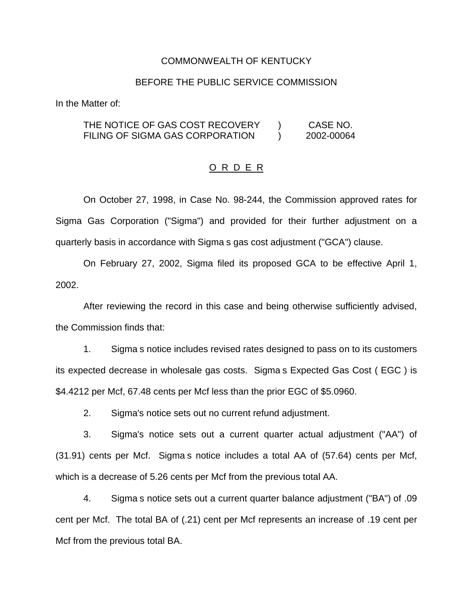### COMMONWEALTH OF KENTUCKY

### BEFORE THE PUBLIC SERVICE COMMISSION

In the Matter of:

# THE NOTICE OF GAS COST RECOVERY ) CASE NO. FILING OF SIGMA GAS CORPORATION (2002-00064

#### O R D E R

On October 27, 1998, in Case No. 98-244, the Commission approved rates for Sigma Gas Corporation ("Sigma") and provided for their further adjustment on a quarterly basis in accordance with Sigma s gas cost adjustment ("GCA") clause.

On February 27, 2002, Sigma filed its proposed GCA to be effective April 1, 2002.

After reviewing the record in this case and being otherwise sufficiently advised, the Commission finds that:

1. Sigma s notice includes revised rates designed to pass on to its customers its expected decrease in wholesale gas costs. Sigma s Expected Gas Cost ( EGC ) is \$4.4212 per Mcf, 67.48 cents per Mcf less than the prior EGC of \$5.0960.

2. Sigma's notice sets out no current refund adjustment.

3. Sigma's notice sets out a current quarter actual adjustment ("AA") of (31.91) cents per Mcf. Sigma s notice includes a total AA of (57.64) cents per Mcf, which is a decrease of 5.26 cents per Mcf from the previous total AA.

4. Sigma s notice sets out a current quarter balance adjustment ("BA") of .09 cent per Mcf. The total BA of (.21) cent per Mcf represents an increase of .19 cent per Mcf from the previous total BA.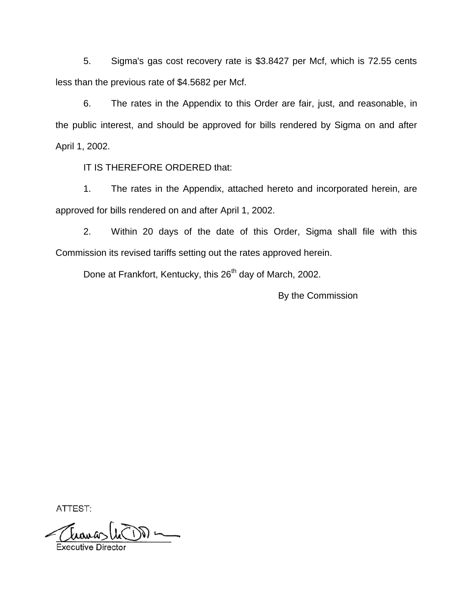5. Sigma's gas cost recovery rate is \$3.8427 per Mcf, which is 72.55 cents less than the previous rate of \$4.5682 per Mcf.

6. The rates in the Appendix to this Order are fair, just, and reasonable, in the public interest, and should be approved for bills rendered by Sigma on and after April 1, 2002.

IT IS THEREFORE ORDERED that:

1. The rates in the Appendix, attached hereto and incorporated herein, are approved for bills rendered on and after April 1, 2002.

2. Within 20 days of the date of this Order, Sigma shall file with this Commission its revised tariffs setting out the rates approved herein.

Done at Frankfort, Kentucky, this 26<sup>th</sup> day of March, 2002.

By the Commission

ATTEST:

Einig  $\longrightarrow \widetilde{\mathbb{C}}$